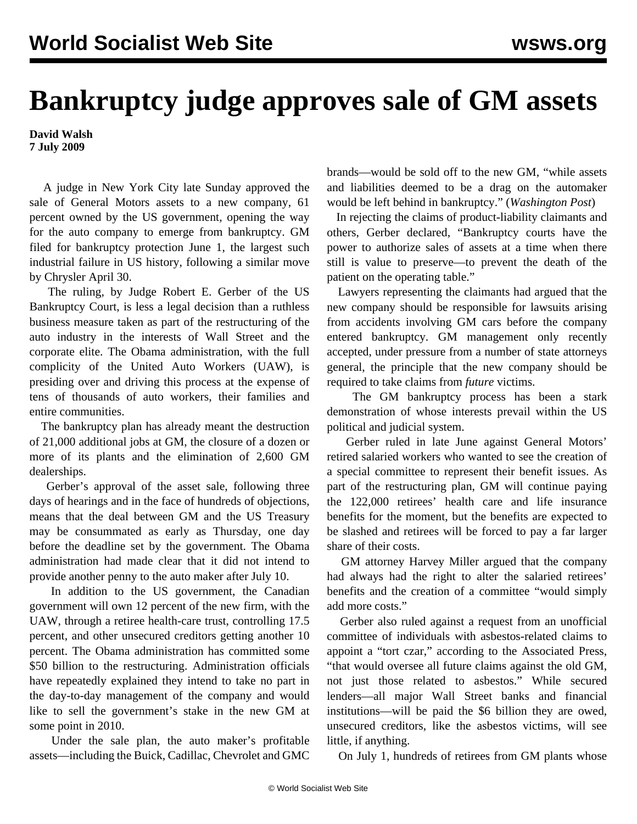## **Bankruptcy judge approves sale of GM assets**

**David Walsh 7 July 2009**

 A judge in New York City late Sunday approved the sale of General Motors assets to a new company, 61 percent owned by the US government, opening the way for the auto company to emerge from bankruptcy. GM filed for bankruptcy protection June 1, the largest such industrial failure in US history, following a similar move by Chrysler April 30.

 The ruling, by Judge Robert E. Gerber of the US Bankruptcy Court, is less a legal decision than a ruthless business measure taken as part of the restructuring of the auto industry in the interests of Wall Street and the corporate elite. The Obama administration, with the full complicity of the United Auto Workers (UAW), is presiding over and driving this process at the expense of tens of thousands of auto workers, their families and entire communities.

 The bankruptcy plan has already meant the destruction of 21,000 additional jobs at GM, the closure of a dozen or more of its plants and the elimination of 2,600 GM dealerships.

 Gerber's approval of the asset sale, following three days of hearings and in the face of hundreds of objections, means that the deal between GM and the US Treasury may be consummated as early as Thursday, one day before the deadline set by the government. The Obama administration had made clear that it did not intend to provide another penny to the auto maker after July 10.

 In addition to the US government, the Canadian government will own 12 percent of the new firm, with the UAW, through a retiree health-care trust, controlling 17.5 percent, and other unsecured creditors getting another 10 percent. The Obama administration has committed some \$50 billion to the restructuring. Administration officials have repeatedly explained they intend to take no part in the day-to-day management of the company and would like to sell the government's stake in the new GM at some point in 2010.

 Under the sale plan, the auto maker's profitable assets—including the Buick, Cadillac, Chevrolet and GMC

brands—would be sold off to the new GM, "while assets and liabilities deemed to be a drag on the automaker would be left behind in bankruptcy." (*Washington Post*)

 In rejecting the claims of product-liability claimants and others, Gerber declared, "Bankruptcy courts have the power to authorize sales of assets at a time when there still is value to preserve—to prevent the death of the patient on the operating table."

 Lawyers representing the claimants had argued that the new company should be responsible for lawsuits arising from accidents involving GM cars before the company entered bankruptcy. GM management only recently accepted, under pressure from a number of state attorneys general, the principle that the new company should be required to take claims from *future* victims.

 The GM bankruptcy process has been a stark demonstration of whose interests prevail within the US political and judicial system.

 Gerber ruled in late June against General Motors' retired salaried workers who wanted to see the creation of a special committee to represent their benefit issues. As part of the restructuring plan, GM will continue paying the 122,000 retirees' health care and life insurance benefits for the moment, but the benefits are expected to be slashed and retirees will be forced to pay a far larger share of their costs.

 GM attorney Harvey Miller argued that the company had always had the right to alter the salaried retirees' benefits and the creation of a committee "would simply add more costs."

 Gerber also ruled against a request from an unofficial committee of individuals with asbestos-related claims to appoint a "tort czar," according to the Associated Press, "that would oversee all future claims against the old GM, not just those related to asbestos." While secured lenders—all major Wall Street banks and financial institutions—will be paid the \$6 billion they are owed, unsecured creditors, like the asbestos victims, will see little, if anything.

On July 1, hundreds of retirees from GM plants whose